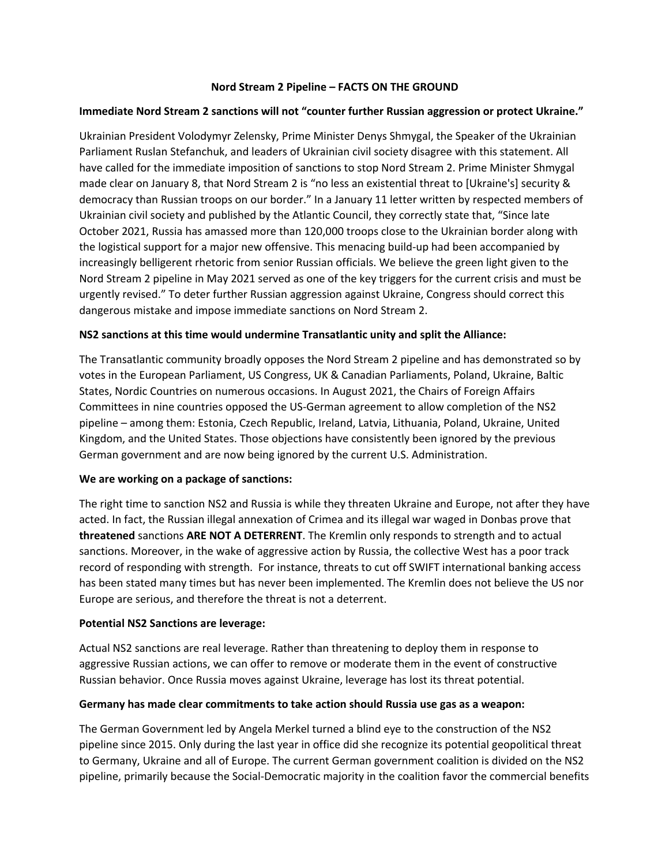## **Nord Stream 2 Pipeline – FACTS ON THE GROUND**

#### **Immediate Nord Stream 2 sanctions will not "counter further Russian aggression or protect Ukraine."**

Ukrainian President Volodymyr Zelensky, Prime Minister Denys Shmygal, the Speaker of the Ukrainian Parliament Ruslan Stefanchuk, and leaders of Ukrainian civil society disagree with this statement. All have called for the immediate imposition of sanctions to stop Nord Stream 2. Prime Minister Shmygal made clear on January 8, that Nord Stream 2 is "no less an existential threat to [Ukraine's] security & democracy than Russian troops on our border." In a January 11 letter written by respected members of Ukrainian civil society and published by the Atlantic Council, they correctly state that, "Since late October 2021, Russia has amassed more than 120,000 troops close to the Ukrainian border along with the logistical support for a major new offensive. This menacing build-up had been accompanied by increasingly belligerent rhetoric from senior Russian officials. We believe the green light given to the Nord Stream 2 pipeline in May 2021 served as one of the key triggers for the current crisis and must be urgently revised." To deter further Russian aggression against Ukraine, Congress should correct this dangerous mistake and impose immediate sanctions on Nord Stream 2.

### **NS2 sanctions at this time would undermine Transatlantic unity and split the Alliance:**

The Transatlantic community broadly opposes the Nord Stream 2 pipeline and has demonstrated so by votes in the European Parliament, US Congress, UK & Canadian Parliaments, Poland, Ukraine, Baltic States, Nordic Countries on numerous occasions. In August 2021, the Chairs of Foreign Affairs Committees in nine countries opposed the US-German agreement to allow completion of the NS2 pipeline – among them: Estonia, Czech Republic, Ireland, Latvia, Lithuania, Poland, Ukraine, United Kingdom, and the United States. Those objections have consistently been ignored by the previous German government and are now being ignored by the current U.S. Administration.

#### **We are working on a package of sanctions:**

The right time to sanction NS2 and Russia is while they threaten Ukraine and Europe, not after they have acted. In fact, the Russian illegal annexation of Crimea and its illegal war waged in Donbas prove that **threatened** sanctions **ARE NOT A DETERRENT**. The Kremlin only responds to strength and to actual sanctions. Moreover, in the wake of aggressive action by Russia, the collective West has a poor track record of responding with strength. For instance, threats to cut off SWIFT international banking access has been stated many times but has never been implemented. The Kremlin does not believe the US nor Europe are serious, and therefore the threat is not a deterrent.

#### **Potential NS2 Sanctions are leverage:**

Actual NS2 sanctions are real leverage. Rather than threatening to deploy them in response to aggressive Russian actions, we can offer to remove or moderate them in the event of constructive Russian behavior. Once Russia moves against Ukraine, leverage has lost its threat potential.

#### **Germany has made clear commitments to take action should Russia use gas as a weapon:**

The German Government led by Angela Merkel turned a blind eye to the construction of the NS2 pipeline since 2015. Only during the last year in office did she recognize its potential geopolitical threat to Germany, Ukraine and all of Europe. The current German government coalition is divided on the NS2 pipeline, primarily because the Social-Democratic majority in the coalition favor the commercial benefits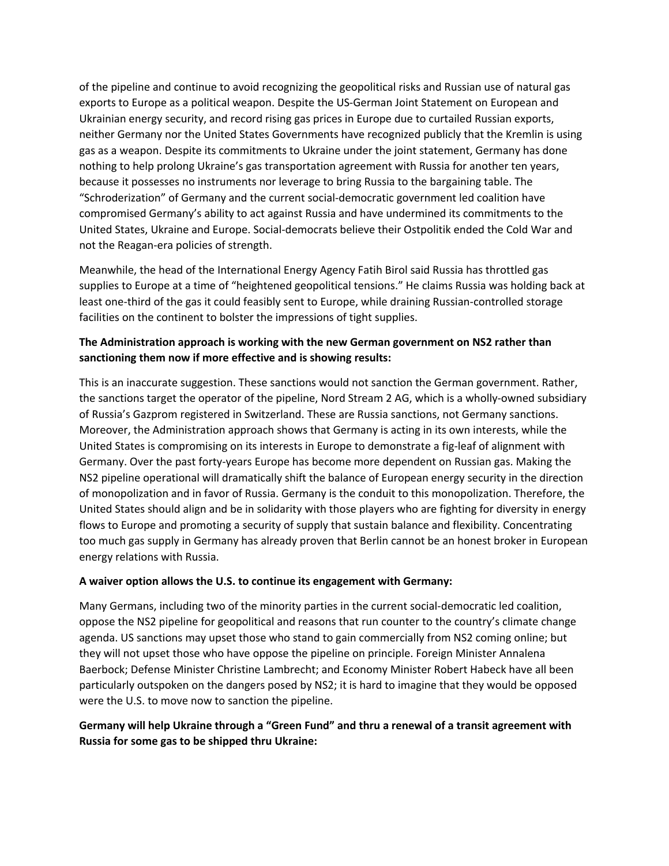of the pipeline and continue to avoid recognizing the geopolitical risks and Russian use of natural gas exports to Europe as a political weapon. Despite the US-German Joint Statement on European and Ukrainian energy security, and record rising gas prices in Europe due to curtailed Russian exports, neither Germany nor the United States Governments have recognized publicly that the Kremlin is using gas as a weapon. Despite its commitments to Ukraine under the joint statement, Germany has done nothing to help prolong Ukraine's gas transportation agreement with Russia for another ten years, because it possesses no instruments nor leverage to bring Russia to the bargaining table. The "Schroderization" of Germany and the current social-democratic government led coalition have compromised Germany's ability to act against Russia and have undermined its commitments to the United States, Ukraine and Europe. Social-democrats believe their Ostpolitik ended the Cold War and not the Reagan-era policies of strength.

Meanwhile, the head of the International Energy Agency Fatih Birol said Russia has throttled gas supplies to Europe at a time of "heightened geopolitical tensions." He claims Russia was holding back at least one-third of the gas it could feasibly sent to Europe, while draining Russian-controlled storage facilities on the continent to bolster the impressions of tight supplies.

# **The Administration approach is working with the new German government on NS2 rather than sanctioning them now if more effective and is showing results:**

This is an inaccurate suggestion. These sanctions would not sanction the German government. Rather, the sanctions target the operator of the pipeline, Nord Stream 2 AG, which is a wholly-owned subsidiary of Russia's Gazprom registered in Switzerland. These are Russia sanctions, not Germany sanctions. Moreover, the Administration approach shows that Germany is acting in its own interests, while the United States is compromising on its interests in Europe to demonstrate a fig-leaf of alignment with Germany. Over the past forty-years Europe has become more dependent on Russian gas. Making the NS2 pipeline operational will dramatically shift the balance of European energy security in the direction of monopolization and in favor of Russia. Germany is the conduit to this monopolization. Therefore, the United States should align and be in solidarity with those players who are fighting for diversity in energy flows to Europe and promoting a security of supply that sustain balance and flexibility. Concentrating too much gas supply in Germany has already proven that Berlin cannot be an honest broker in European energy relations with Russia.

## **A waiver option allows the U.S. to continue its engagement with Germany:**

Many Germans, including two of the minority parties in the current social-democratic led coalition, oppose the NS2 pipeline for geopolitical and reasons that run counter to the country's climate change agenda. US sanctions may upset those who stand to gain commercially from NS2 coming online; but they will not upset those who have oppose the pipeline on principle. Foreign Minister Annalena Baerbock; Defense Minister Christine Lambrecht; and Economy Minister Robert Habeck have all been particularly outspoken on the dangers posed by NS2; it is hard to imagine that they would be opposed were the U.S. to move now to sanction the pipeline.

## **Germany will help Ukraine through a "Green Fund" and thru a renewal of a transit agreement with Russia for some gas to be shipped thru Ukraine:**